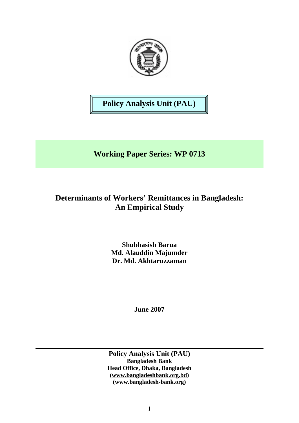

**Policy Analysis Unit (PAU)** 

# **Working Paper Series: WP 0713**

# **Determinants of Workers' Remittances in Bangladesh: An Empirical Study**

**Shubhasish Barua Md. Alauddin Majumder Dr. Md. Akhtaruzzaman** 

**June 2007** 

**Policy Analysis Unit (PAU) Bangladesh Bank Head Office, Dhaka, Bangladesh ([www.bangladeshbank.org.bd](http://www.bangladeshbank.org.bd/)) ([www.bangladesh-bank.org](http://www.bangladesh-bank.org/))**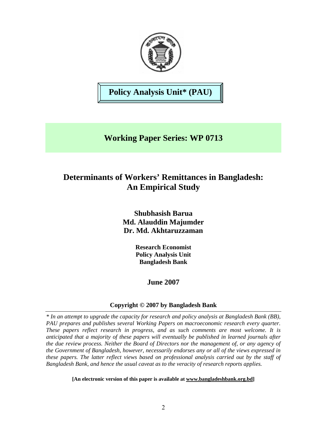

**Policy Analysis Unit\* (PAU)** 

**Working Paper Series: WP 0713** 

# **Determinants of Workers' Remittances in Bangladesh: An Empirical Study**

**Shubhasish Barua Md. Alauddin Majumder Dr. Md. Akhtaruzzaman** 

> **Research Economist Policy Analysis Unit Bangladesh Bank**

> > **June 2007**

# **Copyright © 2007 by Bangladesh Bank**

*\* In an attempt to upgrade the capacity for research and policy analysis at Bangladesh Bank (BB), PAU prepares and publishes several Working Papers on macroeconomic research every quarter. These papers reflect research in progress, and as such comments are most welcome. It is anticipated that a majority of these papers will eventually be published in learned journals after the due review process. Neither the Board of Directors nor the management of, or any agency of the Government of Bangladesh, however, necessarily endorses any or all of the views expressed in these papers. The latter reflect views based on professional analysis carried out by the staff of Bangladesh Bank, and hence the usual caveat as to the veracity of research reports applies.*

**[An electronic version of this paper is available at [www.bangladeshbank.org.bd](http://www.bangladeshbank.org.bd/research/pau.html)]**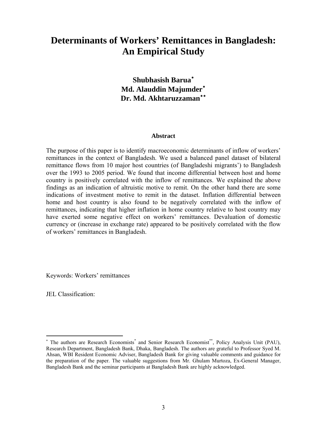# <span id="page-2-0"></span>**Determinants of Workers' Remittances in Bangladesh: An Empirical Study**

**Shubhasish Barua**[∗](#page-2-0) **Md. Alauddin Majumder**[∗](#page-2-0) **Dr. Md. Akhtaruzzaman**[∗∗](#page-2-0)

#### **Abstract**

The purpose of this paper is to identify macroeconomic determinants of inflow of workers' remittances in the context of Bangladesh. We used a balanced panel dataset of bilateral remittance flows from 10 major host countries (of Bangladeshi migrants') to Bangladesh over the 1993 to 2005 period. We found that income differential between host and home country is positively correlated with the inflow of remittances. We explained the above findings as an indication of altruistic motive to remit. On the other hand there are some indications of investment motive to remit in the dataset. Inflation differential between home and host country is also found to be negatively correlated with the inflow of remittances, indicating that higher inflation in home country relative to host country may have exerted some negative effect on workers' remittances. Devaluation of domestic currency or (increase in exchange rate) appeared to be positively correlated with the flow of workers' remittances in Bangladesh.

Keywords: Workers' remittances

JEL Classification:

 $\overline{a}$ 

<sup>\*</sup> The authors are Research Economists<sup>\*</sup> and Senior Research Economist<sup>\*\*</sup>, Policy Analysis Unit (PAU), Research Department, Bangladesh Bank, Dhaka, Bangladesh. The authors are grateful to Professor Syed M. Ahsan, WBI Resident Economic Adviser, Bangladesh Bank for giving valuable comments and guidance for the preparation of the paper. The valuable suggestions from Mr. Ghulam Murtoza, Ex-General Manager, Bangladesh Bank and the seminar participants at Bangladesh Bank are highly acknowledged.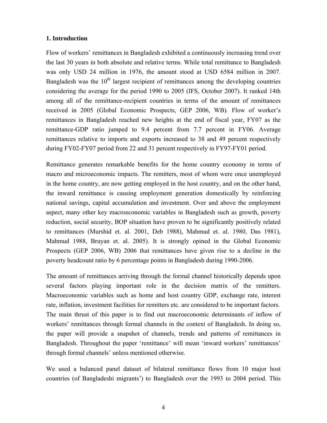### **1. Introduction**

Flow of workers' remittances in Bangladesh exhibited a continuously increasing trend over the last 30 years in both absolute and relative terms. While total remittance to Bangladesh was only USD 24 million in 1976, the amount stood at USD 6584 million in 2007. Bangladesh was the  $10<sup>th</sup>$  largest recipient of remittances among the developing countries considering the average for the period 1990 to 2005 (IFS, October 2007). It ranked 14th among all of the remittance-recipient countries in terms of the amount of remittances received in 2005 (Global Economic Prospects, GEP 2006, WB). Flow of worker's remittances in Bangladesh reached new heights at the end of fiscal year, FY07 as the remittance-GDP ratio jumped to 9.4 percent from 7.7 percent in FY06. Average remittances relative to imports and exports increased to 38 and 49 percent respectively during FY02-FY07 period from 22 and 31 percent respectively in FY97-FY01 period.

Remittance generates remarkable benefits for the home country economy in terms of macro and microeconomic impacts. The remitters, most of whom were once unemployed in the home country, are now getting employed in the host country, and on the other hand, the inward remittance is causing employment generation domestically by reinforcing national savings, capital accumulation and investment. Over and above the employment aspect, many other key macroeconomic variables in Bangladesh such as growth, poverty reduction, social security, BOP situation have proven to be significantly positively related to remittances (Murshid et. al. 2001, Deb 1988), Mahmud et. al. 1980, Das 1981), Mahmud 1988, Bruyan et. al. 2005). It is strongly opined in the Global Economic Prospects (GEP 2006, WB) 2006 that remittances have given rise to a decline in the poverty headcount ratio by 6 percentage points in Bangladesh during 1990-2006.

The amount of remittances arriving through the formal channel historically depends upon several factors playing important role in the decision matrix of the remitters. Macroeconomic variables such as home and host country GDP, exchange rate, interest rate, inflation, investment facilities for remitters etc. are considered to be important factors. The main thrust of this paper is to find out macroeconomic determinants of inflow of workers' remittances through formal channels in the context of Bangladesh. In doing so, the paper will provide a snapshot of channels, trends and patterns of remittances in Bangladesh. Throughout the paper 'remittance' will mean 'inward workers' remittances' through formal channels' unless mentioned otherwise.

We used a balanced panel dataset of bilateral remittance flows from 10 major host countries (of Bangladeshi migrants') to Bangladesh over the 1993 to 2004 period. This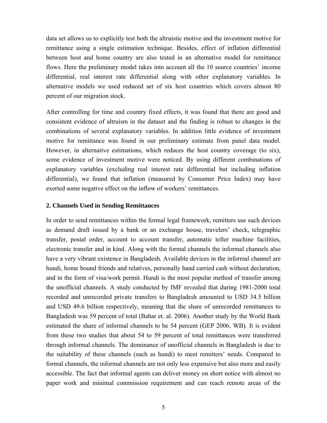data set allows us to explicitly test both the altruistic motive and the investment motive for remittance using a single estimation technique. Besides, effect of inflation differential between host and home country are also tested in an alternative model for remittance flows. Here the preliminary model takes into account all the 10 source countries' income differential, real interest rate differential along with other explanatory variables. In alternative models we used reduced set of six host countries which covers almost 80 percent of our migration stock.

After controlling for time and country fixed effects, it was found that there are good and consistent evidence of altruism in the dataset and the finding is robust to changes in the combinations of several explanatory variables. In addition little evidence of investment motive for remittance was found in our preliminary estimate from panel data model. However, in alternative estimations, which reduces the host country coverage (to six), some evidence of investment motive were noticed. By using different combinations of explanatory variables (excluding real interest rate differential but including inflation differential), we found that inflation (measured by Consumer Price Index) may have exerted some negative effect on the inflow of workers' remittances.

## **2. Channels Used in Sending Remittances**

In order to send remittances within the formal legal framework, remitters use such devices as demand draft issued by a bank or an exchange house, travelers' check, telegraphic transfer, postal order, account to account transfer, automatic teller machine facilities, electronic transfer and in kind. Along with the formal channels the informal channels also have a very vibrant existence in Bangladesh. Available devices in the informal channel are hundi, home bound friends and relatives, personally hand carried cash without declaration, and in the form of visa/work permit. Hundi is the most popular method of transfer among the unofficial channels. A study conducted by IMF revealed that during 1981-2000 total recorded and unrecorded private transfers to Bangladesh amounted to USD 34.5 billion and USD 49.6 billion respectively, meaning that the share of unrecorded remittances to Bangladesh was 59 percent of total (Bahar et. al. 2006). Another study by the World Bank estimated the share of informal channels to be 54 percent (GEP 2006, WB). It is evident from these two studies that about 54 to 59 percent of total remittances were transferred through informal channels. The dominance of unofficial channels in Bangladesh is due to the suitability of these channels (such as hundi) to meet remitters' needs. Compared to formal channels, the informal channels are not only less expensive but also more and easily accessible. The fact that informal agents can deliver money on short notice with almost no paper work and minimal commission requirement and can reach remote areas of the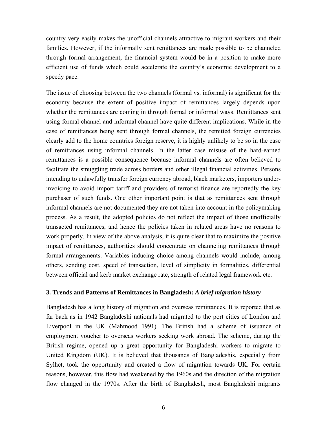country very easily makes the unofficial channels attractive to migrant workers and their families. However, if the informally sent remittances are made possible to be channeled through formal arrangement, the financial system would be in a position to make more efficient use of funds which could accelerate the country's economic development to a speedy pace.

The issue of choosing between the two channels (formal vs. informal) is significant for the economy because the extent of positive impact of remittances largely depends upon whether the remittances are coming in through formal or informal ways. Remittances sent using formal channel and informal channel have quite different implications. While in the case of remittances being sent through formal channels, the remitted foreign currencies clearly add to the home countries foreign reserve, it is highly unlikely to be so in the case of remittances using informal channels. In the latter case misuse of the hard-earned remittances is a possible consequence because informal channels are often believed to facilitate the smuggling trade across borders and other illegal financial activities. Persons intending to unlawfully transfer foreign currency abroad, black marketers, importers underinvoicing to avoid import tariff and providers of terrorist finance are reportedly the key purchaser of such funds. One other important point is that as remittances sent through informal channels are not documented they are not taken into account in the policymaking process. As a result, the adopted policies do not reflect the impact of those unofficially transacted remittances, and hence the policies taken in related areas have no reasons to work properly. In view of the above analysis, it is quite clear that to maximize the positive impact of remittances, authorities should concentrate on channeling remittances through formal arrangements. Variables inducing choice among channels would include, among others, sending cost, speed of transaction, level of simplicity in formalities, differential between official and kerb market exchange rate, strength of related legal framework etc.

## **3. Trends and Patterns of Remittances in Bangladesh:** *A brief migration history*

Bangladesh has a long history of migration and overseas remittances. It is reported that as far back as in 1942 Bangladeshi nationals had migrated to the port cities of London and Liverpool in the UK (Mahmood 1991). The British had a scheme of issuance of employment voucher to overseas workers seeking work abroad. The scheme, during the British regime, opened up a great opportunity for Bangladeshi workers to migrate to United Kingdom (UK). It is believed that thousands of Bangladeshis, especially from Sylhet, took the opportunity and created a flow of migration towards UK. For certain reasons, however, this flow had weakened by the 1960s and the direction of the migration flow changed in the 1970s. After the birth of Bangladesh, most Bangladeshi migrants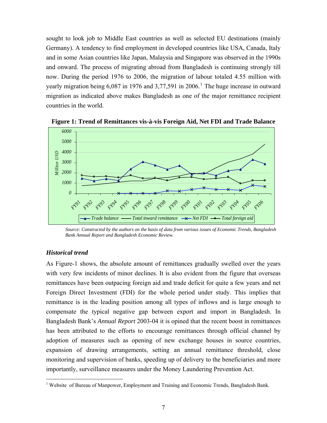<span id="page-6-0"></span>sought to look job to Middle East countries as well as selected EU destinations (mainly Germany). A tendency to find employment in developed countries like USA, Canada, Italy and in some Asian countries like Japan, Malaysia and Singapore was observed in the 1990s and onward. The process of migrating abroad from Bangladesh is continuing strongly till now. During the period 1976 to 2006, the migration of labour totaled 4.55 million with yearly migration being  $6,087$  in [1](#page-6-0)976 and  $3,77,591$  in 2006.<sup>1</sup> The huge increase in outward migration as indicated above makes Bangladesh as one of the major remittance recipient countries in the world.



**Figure 1: Trend of Remittances vis-à-vis Foreign Aid, Net FDI and Trade Balance** 

*Source: Constructed by the authors on the basis of data from various issues of Economic Trends, Bangladesh Bank Annual Report and Bangladesh Economic Review.* 

#### *Historical trend*

As Figure-1 shows, the absolute amount of remittances gradually swelled over the years with very few incidents of minor declines. It is also evident from the figure that overseas remittances have been outpacing foreign aid and trade deficit for quite a few years and net Foreign Direct Investment (FDI) for the whole period under study. This implies that remittance is in the leading position among all types of inflows and is large enough to compensate the typical negative gap between export and import in Bangladesh. In Bangladesh Bank's *Annual Report* 2003-04 it is opined that the recent boost in remittances has been attributed to the efforts to encourage remittances through official channel by adoption of measures such as opening of new exchange houses in source countries, expansion of drawing arrangements, setting an annual remittance threshold, close monitoring and supervision of banks, speeding up of delivery to the beneficiaries and more importantly, surveillance measures under the Money Laundering Prevention Act.

 1 Website of Bureau of Manpower, Employment and Training and Economic Trends, Bangladesh Bank.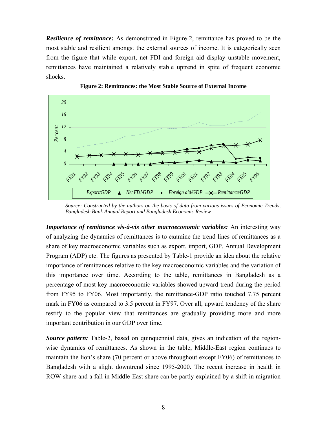*Resilience of remittance:* As demonstrated in Figure-2, remittance has proved to be the most stable and resilient amongst the external sources of income. It is categorically seen from the figure that while export, net FDI and foreign aid display unstable movement, remittances have maintained a relatively stable uptrend in spite of frequent economic shocks.



**Figure 2: Remittances: the Most Stable Source of External Income** 

*Source: Constructed by the authors on the basis of data from various issues of Economic Trends, Bangladesh Bank Annual Report and Bangladesh Economic Review* 

*Importance of remittance vis-à-vis other macroeconomic variables:* An interesting way of analyzing the dynamics of remittances is to examine the trend lines of remittances as a share of key macroeconomic variables such as export, import, GDP, Annual Development Program (ADP) etc. The figures as presented by Table-1 provide an idea about the relative importance of remittances relative to the key macroeconomic variables and the variation of this importance over time. According to the table, remittances in Bangladesh as a percentage of most key macroeconomic variables showed upward trend during the period from FY95 to FY06. Most importantly, the remittance-GDP ratio touched 7.75 percent mark in FY06 as compared to 3.5 percent in FY97. Over all, upward tendency of the share testify to the popular view that remittances are gradually providing more and more important contribution in our GDP over time.

*Source pattern:* Table-2, based on quinquennial data, gives an indication of the regionwise dynamics of remittances. As shown in the table, Middle-East region continues to maintain the lion's share (70 percent or above throughout except FY06) of remittances to Bangladesh with a slight downtrend since 1995-2000. The recent increase in health in ROW share and a fall in Middle-East share can be partly explained by a shift in migration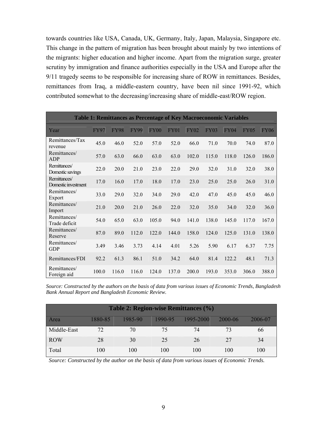towards countries like USA, Canada, UK, Germany, Italy, Japan, Malaysia, Singapore etc. This change in the pattern of migration has been brought about mainly by two intentions of the migrants: higher education and higher income. Apart from the migration surge, greater scrutiny by immigration and finance authorities especially in the USA and Europe after the 9/11 tragedy seems to be responsible for increasing share of ROW in remittances. Besides, remittances from Iraq, a middle-eastern country, have been nil since 1991-92, which contributed somewhat to the decreasing/increasing share of middle-east/ROW region.

| <b>Table 1: Remittances as Percentage of Key Macroeconomic Variables</b> |             |             |             |       |             |             |             |       |             |             |
|--------------------------------------------------------------------------|-------------|-------------|-------------|-------|-------------|-------------|-------------|-------|-------------|-------------|
| Year                                                                     | <b>FY97</b> | <b>FY98</b> | <b>FY99</b> | FY00  | <b>FY01</b> | <b>FY02</b> | <b>FY03</b> | FY04  | <b>FY05</b> | <b>FY06</b> |
| Remittances/Tax<br>revenue                                               | 45.0        | 46.0        | 52.0        | 57.0  | 52.0        | 66.0        | 71.0        | 70.0  | 74.0        | 87.0        |
| Remittances/<br>ADP                                                      | 57.0        | 63.0        | 66.0        | 63.0  | 63.0        | 102.0       | 115.0       | 118.0 | 126.0       | 186.0       |
| Remittances/<br>Domestic savings                                         | 22.0        | 20.0        | 21.0        | 23.0  | 22.0        | 29.0        | 32.0        | 31.0  | 32.0        | 38.0        |
| Remittances/<br>Domestic investment                                      | 17.0        | 16.0        | 17.0        | 18.0  | 17.0        | 23.0        | 25.0        | 25.0  | 26.0        | 31.0        |
| Remittances/<br>Export                                                   | 33.0        | 29.0        | 32.0        | 34.0  | 29.0        | 42.0        | 47.0        | 45.0  | 45.0        | 46.0        |
| Remittances/<br>Import                                                   | 21.0        | 20.0        | 21.0        | 26.0  | 22.0        | 32.0        | 35.0        | 34.0  | 32.0        | 36.0        |
| Remittances/<br>Trade deficit                                            | 54.0        | 65.0        | 63.0        | 105.0 | 94.0        | 141.0       | 138.0       | 145.0 | 117.0       | 167.0       |
| Remittances/<br>Reserve                                                  | 87.0        | 89.0        | 112.0       | 122.0 | 144.0       | 158.0       | 124.0       | 125.0 | 131.0       | 138.0       |
| Remittances/<br><b>GDP</b>                                               | 3.49        | 3.46        | 3.73        | 4.14  | 4.01        | 5.26        | 5.90        | 6.17  | 6.37        | 7.75        |
| Remittances/FDI                                                          | 92.2        | 61.3        | 86.1        | 51.0  | 34.2        | 64.0        | 81.4        | 122.2 | 48.1        | 71.3        |
| Remittances/<br>Foreign aid                                              | 100.0       | 116.0       | 116.0       | 124.0 | 137.0       | 200.0       | 193.0       | 353.0 | 306.0       | 388.0       |

*Source: Constructed by the authors on the basis of data from various issues of Economic Trends, Bangladesh Bank Annual Report and Bangladesh Economic Review.* 

| Table 2: Region-wise Remittances (%) |         |         |         |           |         |         |  |
|--------------------------------------|---------|---------|---------|-----------|---------|---------|--|
| Area                                 | 1880-85 | 1985-90 | 1990-95 | 1995-2000 | 2000-06 | 2006-07 |  |
| Middle-East                          | 72      | 70      | 75      | 74        | 73      | 66      |  |
| <b>ROW</b>                           | 28      | 30      | 25      | 26        | 27      | 34      |  |
| Total                                | 100     | 100     | 100     | 100       | 100     | 100     |  |

*Source: Constructed by the author on the basis of data from various issues of Economic Trends.*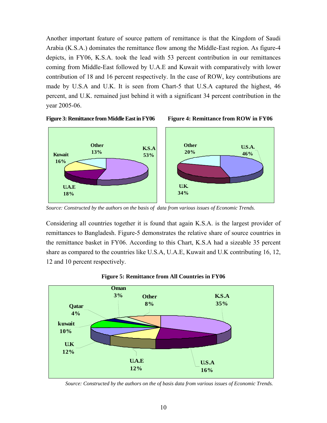Another important feature of source pattern of remittance is that the Kingdom of Saudi Arabia (K.S.A.) dominates the remittance flow among the Middle-East region. As figure-4 depicts, in FY06, K.S.A. took the lead with 53 percent contribution in our remittances coming from Middle-East followed by U.A.E and Kuwait with comparatively with lower contribution of 18 and 16 percent respectively. In the case of ROW, key contributions are made by U.S.A and U.K. It is seen from Chart-5 that U.S.A captured the highest, 46 percent, and U.K. remained just behind it with a significant 34 percent contribution in the year 2005-06.



**Figure 3: Remittance from Middle East in FY06 Figure 4: Remittance from ROW in FY06** 

*Source: Constructed by the authors on the basis of data from various issues of Economic Trends.* 

Considering all countries together it is found that again K.S.A. is the largest provider of remittances to Bangladesh. Figure-5 demonstrates the relative share of source countries in the remittance basket in FY06. According to this Chart, K.S.A had a sizeable 35 percent share as compared to the countries like U.S.A, U.A.E, Kuwait and U.K contributing 16, 12, 12 and 10 percent respectively.



**Figure 5: Remittance from All Countries in FY06** 

*Source: Constructed by the authors on the of basis data from various issues of Economic Trends.*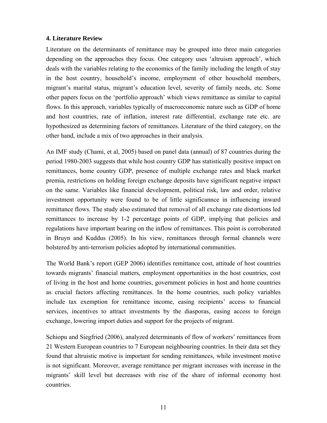## **4. Literature Review**

Literature on the determinants of remittance may be grouped into three main categories depending on the approaches they focus. One category uses 'altruism approach', which deals with the variables relating to the economics of the family including the length of stay in the host country, household's income, employment of other household members, migrant's marital status, migrant's education level, severity of family needs, etc. Some other papers focus on the 'portfolio approach' which views remittance as similar to capital flows. In this approach, variables typically of macroeconomic nature such as GDP of home and host countries, rate of inflation, interest rate differential, exchange rate etc. are hypothesized as determining factors of remittances. Literature of the third category, on the other hand, include a mix of two approaches in their analysis.

An IMF study (Chami, et al, 2005) based on panel data (annual) of 87 countries during the period 1980-2003 suggests that while host country GDP has statistically positive impact on remittances, home country GDP, presence of multiple exchange rates and black market premia, restrictions on holding foreign exchange deposits have significant negative impact on the same. Variables like financial development, political risk, law and order, relative investment opportunity were found to be of little significannce in influencing inward remittance flows. The study also estimated that removal of all exchange rate distortions led remittances to increase by 1-2 percentage points of GDP, implying that policies and regulations have important bearing on the inflow of remittances. This point is corroborated in Bruyn and Kuddus (2005). In his view, remittances through formal channels were bolstered by anti-terrorism policies adopted by international communities.

The World Bank's report (GEP 2006) identifies remittance cost, attitude of host countries towards migrants' financial matters, employment opportunities in the host countries, cost of living in the host and home countries, government policies in host and home countries as crucial factors affecting remittances. In the home countries, such policy variables include tax exemption for remittance income, easing recipients' access to financial services, incentives to attract investments by the diasporas, easing access to foreign exchange, lowering import duties and support for the projects of migrant.

Schiopu and Siegfried (2006), analyzed determinants of flow of workers' remittances from 21 Western European countries to 7 European neighbouring countries. In their data set they found that altruistic motive is important for sending remittances, while investment motive is not significant. Moreover, average remittance per migrant increases with increase in the migrants' skill level but decreases with rise of the share of informal economy host countries.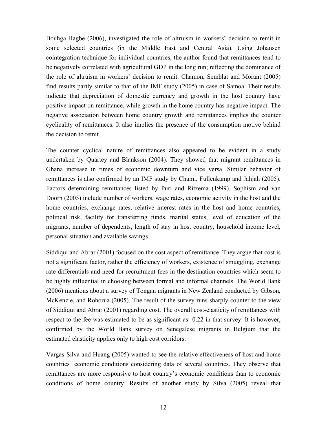Bouhga-Hagbe (2006), investigated the role of altruism in workers' decision to remit in some selected countries (in the Middle East and Central Asia). Using Johansen cointegration technique for individual countries, the author found that remittances tend to be negatively correlated with agricultural GDP in the long run; reflecting the dominance of the role of altruism in workers' decision to remit. Chamon, Semblat and Morant (2005) find results partly similar to that of the IMF study (2005) in case of Samoa. Their results indicate that depreciation of domestic currency and growth in the host country have positive impact on remittance, while growth in the home country has negative impact. The negative association between home country growth and remittances implies the counter cyclicality of remittances. It also implies the presence of the consumption motive behind the decision to remit.

The counter cyclical nature of remittances also appeared to be evident in a study undertaken by Quartey and Blankson (2004). They showed that migrant remittances in Ghana increase in times of economic downturn and vice versa. Similar behavior of remittances is also confirmed by an IMF study by Chami, Fullenkamp and Jahjah (2005). Factors determining remittances listed by Puri and Ritzema (1999), Sophism and van Doorn (2003) include number of workers, wage rates, economic activity in the host and the home countries, exchange rates, relative interest rates in the host and home countries, political risk, facility for transferring funds, marital status, level of education of the migrants, number of dependents, length of stay in host country, household income level, personal situation and available savings.

Siddiqui and Abrar (2001) focused on the cost aspect of remittance. They argue that cost is not a significant factor, rather the efficiency of workers, existence of smuggling, exchange rate differentials and need for recruitment fees in the destination countries which seem to be highly influential in choosing between formal and informal channels. The World Bank (2006) mentions about a survey of Tongan migrants in New Zealand conducted by Gibson, McKenzie, and Rohorua (2005). The result of the survey runs sharply counter to the view of Siddiqui and Abrar (2001) regarding cost. The overall cost-elasticity of remittances with respect to the fee was estimated to be as significant as -0.22 in that survey. It is however, confirmed by the World Bank survey on Senegalese migrants in Belgium that the estimated elasticity applies only to high cost corridors.

Vargas-Silva and Huang (2005) wanted to see the relative effectiveness of host and home countries' economic conditions considering data of several countries. They observe that remittances are more responsive to host country's economic conditions than to economic conditions of home country. Results of another study by Silva (2005) reveal that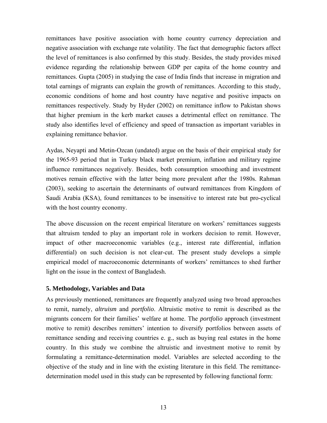remittances have positive association with home country currency depreciation and negative association with exchange rate volatility. The fact that demographic factors affect the level of remittances is also confirmed by this study. Besides, the study provides mixed evidence regarding the relationship between GDP per capita of the home country and remittances. Gupta (2005) in studying the case of India finds that increase in migration and total earnings of migrants can explain the growth of remittances. According to this study, economic conditions of home and host country have negative and positive impacts on remittances respectively. Study by Hyder (2002) on remittance inflow to Pakistan shows that higher premium in the kerb market causes a detrimental effect on remittance. The study also identifies level of efficiency and speed of transaction as important variables in explaining remittance behavior.

Aydas, Neyapti and Metin-Ozcan (undated) argue on the basis of their empirical study for the 1965-93 period that in Turkey black market premium, inflation and military regime influence remittances negatively. Besides, both consumption smoothing and investment motives remain effective with the latter being more prevalent after the 1980s. Rahman (2003), seeking to ascertain the determinants of outward remittances from Kingdom of Saudi Arabia (KSA), found remittances to be insensitive to interest rate but pro-cyclical with the host country economy.

The above discussion on the recent empirical literature on workers' remittances suggests that altruism tended to play an important role in workers decision to remit. However, impact of other macroeconomic variables (e.g., interest rate differential, inflation differential) on such decision is not clear-cut. The present study develops a simple empirical model of macroeconomic determinants of workers' remittances to shed further light on the issue in the context of Bangladesh.

## **5. Methodology, Variables and Data**

As previously mentioned, remittances are frequently analyzed using two broad approaches to remit, namely, *altruism* and *portfolio*. Altruistic motive to remit is described as the migrants concern for their families' welfare at home. The *portfolio* approach (investment motive to remit) describes remitters' intention to diversify portfolios between assets of remittance sending and receiving countries e. g., such as buying real estates in the home country. In this study we combine the altruistic and investment motive to remit by formulating a remittance-determination model. Variables are selected according to the objective of the study and in line with the existing literature in this field. The remittancedetermination model used in this study can be represented by following functional form: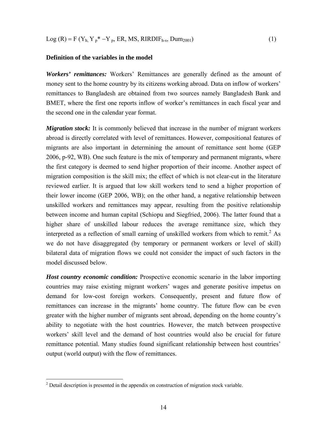#### <span id="page-13-0"></span>**Definition of the variables in the model**

*Workers' remittances:* Workers' Remittances are generally defined as the amount of money sent to the home country by its citizens working abroad. Data on inflow of workers' remittances to Bangladesh are obtained from two sources namely Bangladesh Bank and BMET, where the first one reports inflow of worker's remittances in each fiscal year and the second one in the calendar year format.

*Migration stock:* It is commonly believed that increase in the number of migrant workers abroad is directly correlated with level of remittances. However, compositional features of migrants are also important in determining the amount of remittance sent home (GEP 2006, p-92, WB). One such feature is the mix of temporary and permanent migrants, where the first category is deemed to send higher proportion of their income. Another aspect of migration composition is the skill mix; the effect of which is not clear-cut in the literature reviewed earlier. It is argued that low skill workers tend to send a higher proportion of their lower income (GEP 2006, WB); on the other hand, a negative relationship between unskilled workers and remittances may appear, resulting from the positive relationship between income and human capital (Schiopu and Siegfried, 2006). The latter found that a higher share of unskilled labour reduces the average remittance size, which they interpreted as a reflection of small earning of unskilled workers from which to remit.<sup>[2](#page-13-0)</sup> As we do not have disaggregated (by temporary or permanent workers or level of skill) bilateral data of migration flows we could not consider the impact of such factors in the model discussed below.

*Host country economic condition:* Prospective economic scenario in the labor importing countries may raise existing migrant workers' wages and generate positive impetus on demand for low-cost foreign workers. Consequently, present and future flow of remittances can increase in the migrants' home country. The future flow can be even greater with the higher number of migrants sent abroad, depending on the home country's ability to negotiate with the host countries. However, the match between prospective workers' skill level and the demand of host countries would also be crucial for future remittance potential. Many studies found significant relationship between host countries' output (world output) with the flow of remittances.

<sup>&</sup>lt;sup>2</sup> Detail description is presented in the appendix on construction of migration stock variable.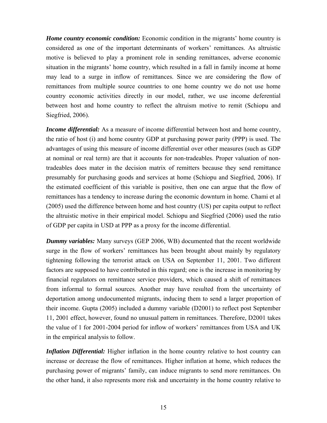*Home country economic condition:* Economic condition in the migrants' home country is considered as one of the important determinants of workers' remittances. As altruistic motive is believed to play a prominent role in sending remittances, adverse economic situation in the migrants' home country, which resulted in a fall in family income at home may lead to a surge in inflow of remittances. Since we are considering the flow of remittances from multiple source countries to one home country we do not use home country economic activities directly in our model, rather, we use income deferential between host and home country to reflect the altruism motive to remit (Schiopu and Siegfried, 2006).

*Income differential:* As a measure of income differential between host and home country, the ratio of host (i) and home country GDP at purchasing power parity (PPP) is used. The advantages of using this measure of income differential over other measures (such as GDP at nominal or real term) are that it accounts for non-tradeables. Proper valuation of nontradeables does mater in the decision matrix of remitters because they send remittance presumably for purchasing goods and services at home (Schiopu and Siegfried, 2006). If the estimated coefficient of this variable is positive, then one can argue that the flow of remittances has a tendency to increase during the economic downturn in home. Chami et al (2005) used the difference between home and host country (US) per capita output to reflect the altruistic motive in their empirical model. Schiopu and Siegfried (2006) used the ratio of GDP per capita in USD at PPP as a proxy for the income differential.

*Dummy variables:* Many surveys (GEP 2006, WB) documented that the recent worldwide surge in the flow of workers' remittances has been brought about mainly by regulatory tightening following the terrorist attack on USA on September 11, 2001. Two different factors are supposed to have contributed in this regard; one is the increase in monitoring by financial regulators on remittance service providers, which caused a shift of remittances from informal to formal sources. Another may have resulted from the uncertainty of deportation among undocumented migrants, inducing them to send a larger proportion of their income. Gupta (2005) included a dummy variable (D2001) to reflect post September 11, 2001 effect, however, found no unusual pattern in remittances. Therefore, D2001 takes the value of 1 for 2001-2004 period for inflow of workers' remittances from USA and UK in the empirical analysis to follow.

*Inflation Differential:* Higher inflation in the home country relative to host country can increase or decrease the flow of remittances. Higher inflation at home, which reduces the purchasing power of migrants' family, can induce migrants to send more remittances. On the other hand, it also represents more risk and uncertainty in the home country relative to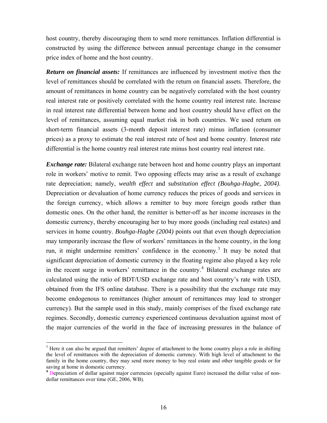<span id="page-15-0"></span>host country, thereby discouraging them to send more remittances. Inflation differential is constructed by using the difference between annual percentage change in the consumer price index of home and the host country.

*Return on financial assets:* If remittances are influenced by investment motive then the level of remittances should be correlated with the return on financial assets. Therefore, the amount of remittances in home country can be negatively correlated with the host country real interest rate or positively correlated with the home country real interest rate. Increase in real interest rate differential between home and host country should have effect on the level of remittances, assuming equal market risk in both countries. We used return on short-term financial assets (3-month deposit interest rate) minus inflation (consumer prices) as a proxy to estimate the real interest rate of host and home country. Interest rate differential is the home country real interest rate minus host country real interest rate.

*Exchange rate:* Bilateral exchange rate between host and home country plays an important role in workers' motive to remit. Two opposing effects may arise as a result of exchange rate depreciation; namely, *wealth effect* and *substitution effect (Bouhga-Hagbe, 2004)*. Depreciation or devaluation of home currency reduces the prices of goods and services in the foreign currency, which allows a remitter to buy more foreign goods rather than domestic ones. On the other hand, the remitter is better-off as her income increases in the domestic currency, thereby encouraging her to buy more goods (including real estates) and services in home country. *Bouhga-Hagbe (2004)* points out that even though depreciation may temporarily increase the flow of workers' remittances in the home country, in the long run, it might undermine remitters' confidence in the economy.<sup>[3](#page-15-0)</sup> It may be noted that significant depreciation of domestic currency in the floating regime also played a key role in the recent surge in workers' remittance in the country.<sup>[4](#page-15-0)</sup> Bilateral exchange rates are calculated using the ratio of BDT/USD exchange rate and host country's rate with USD, obtained from the IFS online database. There is a possibility that the exchange rate may become endogenous to remittances (higher amount of remittances may lead to stronger currency). But the sample used in this study, mainly comprises of the fixed exchange rate regimes. Secondly, domestic currency experienced continuous devaluation against most of the major currencies of the world in the face of increasing pressures in the balance of

 $\overline{a}$ 

 $3$  Here it can also be argued that remitters' degree of attachment to the home country plays a role in shifting the level of remittances with the depreciation of domestic currency. With high level of attachment to the family in the home country, they may send more money to buy real estate and other tangible goods or for saving at home in domestic currency.

<sup>&</sup>lt;sup>4</sup> Depreciation of dollar against major currencies (specially against Euro) increased the dollar value of nondollar remittances over time (GE, 2006, WB).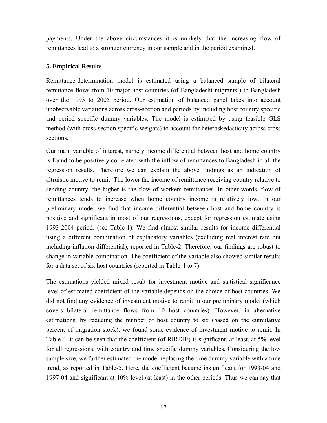payments. Under the above circumstances it is unlikely that the increasing flow of remittances lead to a stronger currency in our sample and in the period examined.

## **5. Empirical Results**

Remittance-determination model is estimated using a balanced sample of bilateral remittance flows from 10 major host countries (of Bangladeshi migrants') to Bangladesh over the 1993 to 2005 period. Our estimation of balanced panel takes into account unobservable variations across cross-section and periods by including host country specific and period specific dummy variables. The model is estimated by using feasible GLS method (with cross-section specific weights) to account for heteroskedasticity across cross sections.

Our main variable of interest, namely income differential between host and home country is found to be positively correlated with the inflow of remittances to Bangladesh in all the regression results. Therefore we can explain the above findings as an indication of altruistic motive to remit. The lower the income of remittance receiving country relative to sending country, the higher is the flow of workers remittances. In other words, flow of remittances tends to increase when home country income is relatively low. In our preliminary model we find that income differential between host and home country is positive and significant in most of our regressions, except for regression estimate using 1993-2004 period. (see Table-1). We find almost similar results for income differential using a different combination of explanatory variables (excluding real interest rate but including inflation differential), reported in Table-2. Therefore, our findings are robust to change in variable combination. The coefficient of the variable also showed similar results for a data set of six host countries (reported in Table-4 to 7).

The estimations yielded mixed result for investment motive and statistical significance level of estimated coefficient of the variable depends on the choice of host countries. We did not find any evidence of investment motive to remit in our preliminary model (which covers bilateral remittance flows from 10 host countries). However, in alternative estimations, by reducing the number of host country to six (based on the cumulative percent of migration stock), we found some evidence of investment motive to remit. In Table-4, it can be seen that the coefficient (of RIRDIF) is significant, at least, at 5% level for all regressions, with country and time specific dummy variables. Considering the low sample size, we further estimated the model replacing the time dummy variable with a time trend, as reported in Table-5. Here, the coefficient became insignificant for 1993-04 and 1997-04 and significant at 10% level (at least) in the other periods. Thus we can say that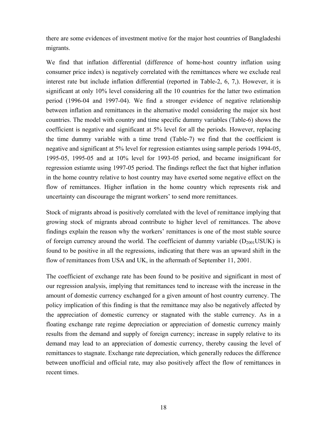there are some evidences of investment motive for the major host countries of Bangladeshi migrants.

We find that inflation differential (difference of home-host country inflation using consumer price index) is negatively correlated with the remittances where we exclude real interest rate but include inflation differential (reported in Table-2, 6, 7,). However, it is significant at only 10% level considering all the 10 countries for the latter two estimation period (1996-04 and 1997-04). We find a stronger evidence of negative relationship between inflation and remittances in the alternative model considering the major six host countries. The model with country and time specific dummy variables (Table-6) shows the coefficient is negative and significant at 5% level for all the periods. However, replacing the time dummy variable with a time trend (Table-7) we find that the coefficient is negative and significant at 5% level for regression estiamtes using sample periods 1994-05, 1995-05, 1995-05 and at 10% level for 1993-05 period, and became insignificant for regression estiamte using 1997-05 period. The findings reflect the fact that higher inflation in the home country relative to host country may have exerted some negative effect on the flow of remittances. Higher inflation in the home country which represents risk and uncertainty can discourage the migrant workers' to send more remittances.

Stock of migrants abroad is positively correlated with the level of remittance implying that growing stock of migrants abroad contribute to higher level of remittances. The above findings explain the reason why the workers' remittances is one of the most stable source of foreign currency around the world. The coefficient of dummy variable  $(D_{2001}USUK)$  is found to be positive in all the regressions, indicating that there was an upward shift in the flow of remittances from USA and UK, in the aftermath of September 11, 2001.

The coefficient of exchange rate has been found to be positive and significant in most of our regression analysis, implying that remittances tend to increase with the increase in the amount of domestic currency exchanged for a given amount of host country currency. The policy implication of this finding is that the remittance may also be negatively affected by the appreciation of domestic currency or stagnated with the stable currency. As in a floating exchange rate regime depreciation or appreciation of domestic currency mainly results from the demand and supply of foreign currency; increase in supply relative to its demand may lead to an appreciation of domestic currency, thereby causing the level of remittances to stagnate. Exchange rate depreciation, which generally reduces the difference between unofficial and official rate, may also positively affect the flow of remittances in recent times.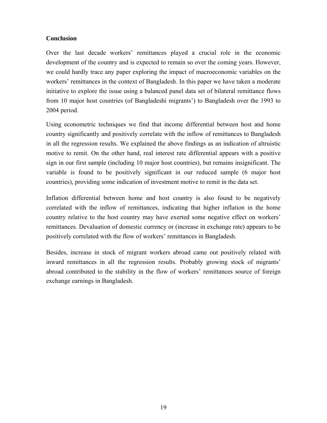# **Conclusion**

Over the last decade workers' remittances played a crucial role in the economic development of the country and is expected to remain so over the coming years. However, we could hardly trace any paper exploring the impact of macroeconomic variables on the workers' remittances in the context of Bangladesh. In this paper we have taken a moderate initiative to explore the issue using a balanced panel data set of bilateral remittance flows from 10 major host countries (of Bangladeshi migrants') to Bangladesh over the 1993 to 2004 period.

Using econometric techniques we find that income differential between host and home country significantly and positively correlate with the inflow of remittances to Bangladesh in all the regression results. We explained the above findings as an indication of altruistic motive to remit. On the other hand, real interest rate differential appears with a positive sign in our first sample (including 10 major host countries), but remains insignificant. The variable is found to be positively significant in our reduced sample (6 major host countries), providing some indication of investment motive to remit in the data set.

Inflation differential between home and host country is also found to be negatively correlated with the inflow of remittances, indicating that higher inflation in the home country relative to the host country may have exerted some negative effect on workers' remittances. Devaluation of domestic currency or (increase in exchange rate) appears to be positively correlated with the flow of workers' remittances in Bangladesh.

Besides, increase in stock of migrant workers abroad came out positively related with inward remittances in all the regression results. Probably growing stock of migrants' abroad contributed to the stability in the flow of workers' remittances source of foreign exchange earnings in Bangladesh.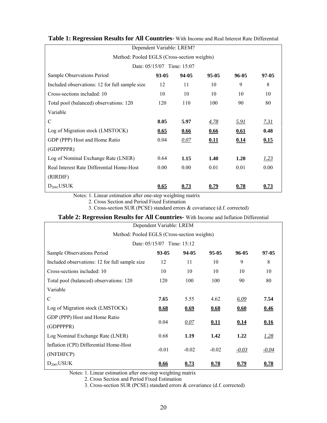| Dependent Variable: LREM?                      |       |       |       |       |             |  |  |  |
|------------------------------------------------|-------|-------|-------|-------|-------------|--|--|--|
| Method: Pooled EGLS (Cross-section weights)    |       |       |       |       |             |  |  |  |
| Date: 05/15/07 Time: 15:07                     |       |       |       |       |             |  |  |  |
| Sample Observations Period                     | 93-05 | 94-05 | 95-05 | 96-05 | 97-05       |  |  |  |
| Included observations: 12 for full sample size | 12    | 11    | 10    | 9     | 8           |  |  |  |
| Cross-sections included: 10                    | 10    | 10    | 10    | 10    | 10          |  |  |  |
| Total pool (balanced) observations: 120        | 120   | 110   | 100   | 90    | 80          |  |  |  |
| Variable                                       |       |       |       |       |             |  |  |  |
| $\mathcal{C}$                                  | 8.05  | 5.97  | 4.78  | 5.91  | <u>7.31</u> |  |  |  |
| Log of Migration stock (LMSTOCK)               | 0.65  | 0.66  | 0.66  | 0.61  | 0.48        |  |  |  |
| GDP (PPP) Host and Home Ratio                  | 0.04  | 0.07  | 0.11  | 0.14  | 0.15        |  |  |  |
| (GDPPPPR)                                      |       |       |       |       |             |  |  |  |
| Log of Nominal Exchange Rate (LNER)            | 0.64  | 1.15  | 1.40  | 1.20  | <u>1.23</u> |  |  |  |
| Real Interest Rate Differential Home-Host      | 0.00  | 0.00  | 0.01  | 0.01  | 0.00        |  |  |  |
| (RIRDIF)                                       |       |       |       |       |             |  |  |  |
| $D_{2001}$ USUK                                | 0.65  | 0.73  | 0.79  | 0.78  | 0.73        |  |  |  |

**Table 1: Regression Results for All Countries***-* With Income and Real Interest Rate Differential

Notes: 1. Linear estimation after one-step weighting matrix

2. Cross Section and Period Fixed Estimation

3. Cross-section SUR (PCSE) standard errors & covariance (d.f. corrected)

#### **Table 2: Regression Results for All Countries-** With Income and Inflation Differential

| Dependent Variable: LREM                       |         |         |           |         |             |  |  |  |
|------------------------------------------------|---------|---------|-----------|---------|-------------|--|--|--|
| Method: Pooled EGLS (Cross-section weights)    |         |         |           |         |             |  |  |  |
| Date: 05/15/07 Time: 15:12                     |         |         |           |         |             |  |  |  |
| Sample Observations Period                     | 93-05   | 94-05   | $95 - 05$ | 96-05   | 97-05       |  |  |  |
| Included observations: 12 for full sample size | 12      | 11      | 10        | 9       | 8           |  |  |  |
| Cross-sections included: 10                    | 10      | 10      | 10        | 10      | 10          |  |  |  |
| Total pool (balanced) observations: 120        | 120     | 100     | 100       | 90      | 80          |  |  |  |
| Variable                                       |         |         |           |         |             |  |  |  |
| C                                              | 7.65    | 5.55    | 4.62      | 6.09    | 7.54        |  |  |  |
| Log of Migration stock (LMSTOCK)               | 0.68    | 0.69    | 0.68      | 0.60    | 0.46        |  |  |  |
| GDP (PPP) Host and Home Ratio                  |         |         |           |         |             |  |  |  |
| (GDPPPPR)                                      | 0.04    | 0.07    | 0.11      | 0.14    | 0.16        |  |  |  |
| Log Nominal Exchange Rate (LNER)               | 0.68    | 1.19    | 1.42      | 1.22    | <u>1.28</u> |  |  |  |
| Inflation (CPI) Differential Home-Host         |         |         |           |         |             |  |  |  |
| (INFDIFCP)                                     | $-0.01$ | $-0.02$ | $-0.02$   | $-0.03$ | $-0.04$     |  |  |  |
| $D_{2001}$ USUK                                | 0.66    | 0.73    | 0.78      | 0.79    | 0.78        |  |  |  |

Notes: 1. Linear estimation after one-step weighting matrix

2. Cross Section and Period Fixed Estimation

3. Cross-section SUR (PCSE) standard errors & covariance (d.f. corrected)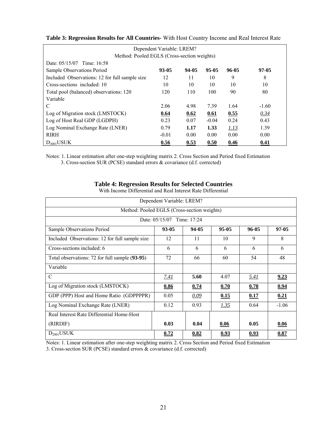| Dependent Variable: LREM?                      |         |       |         |             |         |  |  |  |
|------------------------------------------------|---------|-------|---------|-------------|---------|--|--|--|
| Method: Pooled EGLS (Cross-section weights)    |         |       |         |             |         |  |  |  |
| Date: 05/15/07 Time: 16:58                     |         |       |         |             |         |  |  |  |
| Sample Observations Period                     | 93-05   | 94-05 | 95-05   | 96-05       | 97-05   |  |  |  |
| Included Observations: 12 for full sample size | 12      | 11    | 10      | 9           | 8       |  |  |  |
| Cross-sections included: 10                    | 10      | 10    | 10      | 10          | 10      |  |  |  |
| Total pool (balanced) observations: 120        | 120     | 110   | 100     | 90          | 80      |  |  |  |
| Variable                                       |         |       |         |             |         |  |  |  |
| C                                              | 2.06    | 4.98  | 7.39    | 1.64        | $-1.60$ |  |  |  |
| Log of Migration stock (LMSTOCK)               | 0.64    | 0.62  | 0.61    | 0.55        | 0.34    |  |  |  |
| Log of Host Real GDP (LGDPH)                   | 0.23    | 0.07  | $-0.04$ | 0.24        | 0.43    |  |  |  |
| Log Nominal Exchange Rate (LNER)               | 0.79    | 1.17  | 1.33    | <u>1.13</u> | 1.39    |  |  |  |
| <b>RIRH</b>                                    | $-0.01$ | 0.00  | 0.00    | 0.00        | 0.00    |  |  |  |
| $D_{2001}$ USUK                                | 0.56    | 0.53  | 0.50    | 0.46        | 0.41    |  |  |  |

**Table 3: Regression Results for All Countries-** With Host Country Income and Real Interest Rate

Notes: 1. Linear estimation after one-step weighting matrix 2. Cross Section and Period fixed Estimation 3. Cross-section SUR (PCSE) standard errors & covariance (d.f. corrected)

# **Table 4: Regression Results for Selected Countries**

With Income Differential and Real Interest Rate Differential

| Dependent Variable: LREM?                      |           |       |           |             |         |  |  |  |
|------------------------------------------------|-----------|-------|-----------|-------------|---------|--|--|--|
| Method: Pooled EGLS (Cross-section weights)    |           |       |           |             |         |  |  |  |
| Date: 05/15/07 Time: 17:24                     |           |       |           |             |         |  |  |  |
| Sample Observations Period                     | $93 - 05$ | 94-05 | $95 - 05$ | 96-05       | 97-05   |  |  |  |
| Included Observations: 12 for full sample size | 12        | 11    | 10        | 9           | 8       |  |  |  |
| Cross-sections included: 6                     | 6         | 6     | 6         | 6           | 6       |  |  |  |
| Total observations: 72 for full sample (93-95) | 72        | 66    | 60        | 54          | 48      |  |  |  |
| Variable                                       |           |       |           |             |         |  |  |  |
| $\mathcal{C}$                                  | 7.41      | 5.60  | 4.07      | <u>5.41</u> | 9.23    |  |  |  |
| Log of Migration stock (LMSTOCK)               | 0.86      | 0.74  | 0.70      | 0.78        | 0.94    |  |  |  |
| GDP (PPP) Host and Home Ratio (GDPPPPR)        | 0.05      | 0.09  | 0.15      | 0.17        | 0.21    |  |  |  |
| Log Nominal Exchange Rate (LNER)               | 0.12      | 0.93  | 1.35      | 0.64        | $-1.06$ |  |  |  |
| Real Interest Rate Differential Home-Host      |           |       |           |             |         |  |  |  |
| (RIRDIF)                                       | 0.03      | 0.04  | 0.06      | 0.05        | 0.06    |  |  |  |
| $D_{2001}$ USUK                                | 0.72      | 0.82  | 0.93      | 0.93        | 0.87    |  |  |  |

Notes: 1. Linear estimation after one-step weighting matrix 2. Cross Section and Period fixed Estimation

3. Cross-section SUR (PCSE) standard errors & covariance (d.f. corrected)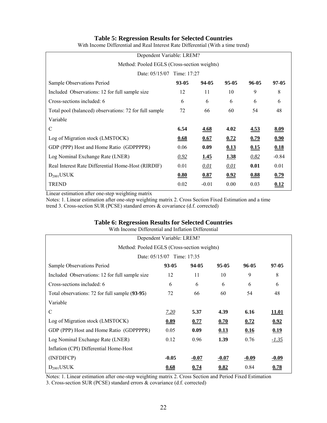## **Table 5: Regression Results for Selected Countries**

| Dependent Variable: LREM?                              |       |             |           |             |           |  |  |
|--------------------------------------------------------|-------|-------------|-----------|-------------|-----------|--|--|
| Method: Pooled EGLS (Cross-section weights)            |       |             |           |             |           |  |  |
| Date: 05/15/07 Time: 17:27                             |       |             |           |             |           |  |  |
| Sample Observations Period                             | 93-05 | 94-05       | $95 - 05$ | 96-05       | $97 - 05$ |  |  |
| Included Observations: 12 for full sample size         | 12    | 11          | 10        | 9           | 8         |  |  |
| Cross-sections included: 6                             | 6     | 6           | 6         | 6           | 6         |  |  |
| Total pool (balanced) observations: 72 for full sample | 72    | 66          | 60        | 54          | 48        |  |  |
| Variable                                               |       |             |           |             |           |  |  |
| C                                                      | 6.54  | <u>4.68</u> | 4.02      | <u>4.53</u> | 8.09      |  |  |
| Log of Migration stock (LMSTOCK)                       | 0.68  | 0.67        | 0.72      | 0.79        | 0.90      |  |  |
| GDP (PPP) Host and Home Ratio (GDPPPPR)                | 0.06  | 0.09        | 0.13      | 0.15        | 0.18      |  |  |
| Log Nominal Exchange Rate (LNER)                       | 0.92  | 1.45        | 1.38      | 0.82        | $-0.84$   |  |  |
| Real Interest Rate Differential Home-Host (RIRDIF)     | 0.01  | 0.01        | 0.01      | 0.01        | 0.01      |  |  |
| $D_{2001}$ USUK                                        | 0.80  | 0.87        | 0.92      | 0.88        | 0.79      |  |  |
| <b>TREND</b>                                           | 0.02  | $-0.01$     | 0.00      | 0.03        | 0.12      |  |  |

With Income Differential and Real Interest Rate Differential (With a time trend)

Linear estimation after one-step weighting matrix

Notes: 1. Linear estimation after one-step weighting matrix 2. Cross Section Fixed Estimation and a time trend 3. Cross-section SUR (PCSE) standard errors & covariance (d.f. corrected)

### **Table 6: Regression Results for Selected Countries**

| With Income Differential and Inflation Differential |  |  |
|-----------------------------------------------------|--|--|

| Dependent Variable: LREM?                      |         |         |           |         |              |  |  |  |
|------------------------------------------------|---------|---------|-----------|---------|--------------|--|--|--|
| Method: Pooled EGLS (Cross-section weights)    |         |         |           |         |              |  |  |  |
| Date: 05/15/07 Time: 17:35                     |         |         |           |         |              |  |  |  |
| Sample Observations Period                     | 93-05   | 94-05   | $95 - 05$ | 96-05   | 97-05        |  |  |  |
| Included Observations: 12 for full sample size | 12      | 11      | 10        | 9       | 8            |  |  |  |
| Cross-sections included: 6                     | 6       | 6       | 6         | 6       | 6            |  |  |  |
| Total observations: 72 for full sample (93-95) | 72      | 66      | 60        | 54      | 48           |  |  |  |
| Variable                                       |         |         |           |         |              |  |  |  |
| $\mathcal{C}$                                  | 7.20    | 5.37    | 4.39      | 6.16    | <u>11.01</u> |  |  |  |
| Log of Migration stock (LMSTOCK)               | 0.89    | 0.77    | 0.70      | 0.72    | 0.92         |  |  |  |
| GDP (PPP) Host and Home Ratio (GDPPPPR)        | 0.05    | 0.09    | 0.13      | 0.16    | 0.19         |  |  |  |
| Log Nominal Exchange Rate (LNER)               | 0.12    | 0.96    | 1.39      | 0.76    | <u>-1.35</u> |  |  |  |
| Inflation (CPI) Differential Home-Host         |         |         |           |         |              |  |  |  |
| (INFDIFCP)                                     | $-0.05$ | $-0.07$ | $-0.07$   | $-0.09$ | $-0.09$      |  |  |  |
| $D_{2001}$ USUK                                | 0.68    | 0.74    | 0.82      | 0.84    | 0.78         |  |  |  |

Notes: 1. Linear estimation after one-step weighting matrix 2. Cross Section and Period Fixed Estimation

3. Cross-section SUR (PCSE) standard errors & covariance (d.f. corrected)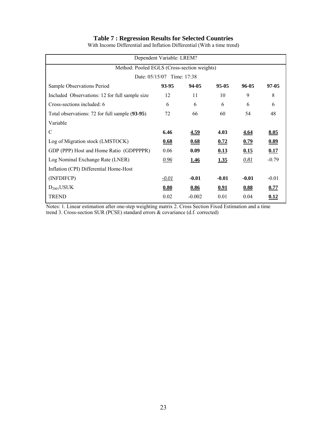## **Table 7 : Regression Results for Selected Countries**

| Dependent Variable: LREM?                      |         |          |         |         |           |  |  |  |
|------------------------------------------------|---------|----------|---------|---------|-----------|--|--|--|
| Method: Pooled EGLS (Cross-section weights)    |         |          |         |         |           |  |  |  |
| Date: 05/15/07 Time: 17:38                     |         |          |         |         |           |  |  |  |
| Sample Observations Period                     | 93-95   | 94-05    | 95-05   | 96-05   | $97 - 05$ |  |  |  |
| Included Observations: 12 for full sample size | 12      | 11       | 10      | 9       | 8         |  |  |  |
| Cross-sections included: 6                     | 6       | 6        | 6       | 6       | 6         |  |  |  |
| Total observations: 72 for full sample (93-95) | 72      | 66       | 60      | 54      | 48        |  |  |  |
| Variable                                       |         |          |         |         |           |  |  |  |
| C                                              | 6.46    | 4.59     | 4.03    | 4.64    | 8.05      |  |  |  |
| Log of Migration stock (LMSTOCK)               | 0.68    | 0.68     | 0.72    | 0.79    | 0.89      |  |  |  |
| GDP (PPP) Host and Home Ratio (GDPPPPR)        | 0.06    | 0.09     | 0.13    | 0.15    | 0.17      |  |  |  |
| Log Nominal Exchange Rate (LNER)               | 0.96    | 1.46     | 1.35    | 0.81    | $-0.79$   |  |  |  |
| Inflation (CPI) Differential Home-Host         |         |          |         |         |           |  |  |  |
| (INFDIFCP)                                     | $-0.01$ | $-0.01$  | $-0.01$ | $-0.01$ | $-0.01$   |  |  |  |
| $D_{2001}$ USUK                                | 0.80    | 0.86     | 0.91    | 0.88    | 0.77      |  |  |  |
| <b>TREND</b>                                   | 0.02    | $-0.002$ | 0.01    | 0.04    | 0.12      |  |  |  |

With Income Differential and Inflation Differential (With a time trend)

Notes: 1. Linear estimation after one-step weighting matrix 2. Cross Section Fixed Estimation and a time trend 3. Cross-section SUR (PCSE) standard errors & covariance (d.f. corrected)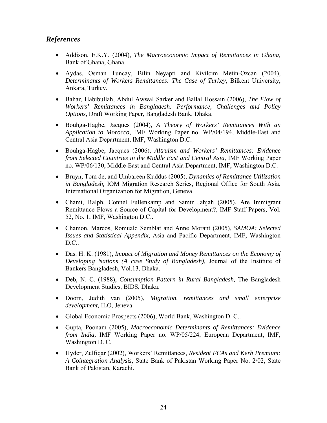# *References*

- Addison, E.K.Y. (2004), *The Macroeconomic Impact of Remittances in Ghana,* Bank of Ghana, Ghana.
- Aydas, Osman Tuncay, Bilin Neyapti and Kivilcim Metin-Ozcan (2004), *Determinants of Workers Remittances: The Case of Turkey,* Bilkent University, Ankara, Turkey.
- Bahar, Habibullah, Abdul Awwal Sarker and Ballal Hossain (2006), *The Flow of Workers' Remittances in Bangladesh: Performance, Challenges and Policy Options,* Draft Working Paper, Bangladesh Bank, Dhaka.
- Bouhga-Hagbe, Jacques (2004), *A Theory of Workers' Remittances With an Application to Morocco,* IMF Working Paper no. WP/04/194, Middle-East and Central Asia Department, IMF, Washington D.C.
- Bouhga-Hagbe, Jacques (2006), *Altruism and Workers' Remittances: Evidence from Selected Countries in the Middle East and Central Asia,* IMF Working Paper no. WP/06/130, Middle-East and Central Asia Department, IMF, Washington D.C.
- Bruyn, Tom de, and Umbareen Kuddus (2005), *Dynamics of Remittance Utilization in Bangladesh,* IOM Migration Research Series, Regional Office for South Asia, International Organization for Migration, Geneva.
- Chami, Ralph, Connel Fullenkamp and Samir Jahjah (2005), Are Immigrant Remittance Flows a Source of Capital for Development?*,* IMF Staff Papers, Vol. 52, No. 1, IMF, Washington D.C..
- Chamon, Marcos, Romuald Semblat and Anne Morant (2005), *SAMOA: Selected Issues and Statistical Appendix*, Asia and Pacific Department, IMF, Washington  $D.C.$
- Das. H. K. (1981), *Impact of Migration and Money Remittances on the Economy of Developing Nations (A case Study of Bangladesh),* Journal of the Institute of Bankers Bangladesh, Vol.13, Dhaka.
- Deb, N. C. (1988), *Consumption Pattern in Rural Bangladesh,* The Bangladesh Development Studies, BIDS, Dhaka.
- Doorn, Judith van (2005), *Migration, remittances and small enterprise development,* ILO, Jeneva.
- Global Economic Prospects (2006), World Bank, Washington D. C..
- Gupta, Poonam (2005), *Macroeconomic Determinants of Remittances: Evidence from India,* IMF Working Paper no. WP/05/224, European Department, IMF, Washington D. C.
- Hyder, Zulfiqar (2002), Workers' Remittances, *Resident FCAs and Kerb Premium: A Cointegration Analysis,* State Bank of Pakistan Working Paper No. 2/02, State Bank of Pakistan, Karachi.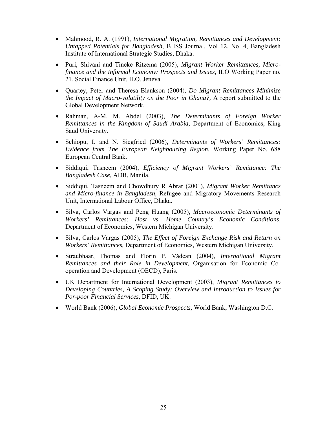- Mahmood, R. A. (1991), *International Migration, Remittances and Development: Untapped Potentials for Bangladesh,* BIISS Journal, Vol 12, No. 4, Bangladesh Institute of International Strategic Studies, Dhaka.
- Puri, Shivani and Tineke Ritzema (2005), *Migrant Worker Remittances, Microfinance and the Informal Economy: Prospects and Issues,* ILO Working Paper no. 21, Social Finance Unit, ILO, Jeneva.
- Quartey, Peter and Theresa Blankson (2004), *Do Migrant Remittances Minimize the Impact of Macro-volatility on the Poor in Ghana?,* A report submitted to the Global Development Network.
- Rahman, A-M. M. Abdel (2003), *The Determinants of Foreign Worker Remittances in the Kingdom of Saudi Arabia,* Department of Economics, King Saud University.
- Schiopu, I. and N. Siegfried (2006), *Determinants of Workers' Remittances: Evidence from The European Neighbouring Region*, Working Paper No. 688 European Central Bank.
- Siddiqui, Tasneem (2004), *Efficiency of Migrant Workers' Remittance: The Bangladesh Case,* ADB, Manila.
- Siddiqui, Tasneem and Chowdhury R Abrar (2001), *Migrant Worker Remittancs and Micro-finance in Bangladesh,* Refugee and Migratory Movements Research Unit, International Labour Office, Dhaka.
- Silva, Carlos Vargas and Peng Huang (2005), *Macroeconomic Determinants of Workers' Remittances: Host vs. Home Country's Economic Conditions,*  Department of Economics, Western Michigan University.
- Silva, Carlos Vargas (2005), *The Effect of Foreign Exchange Risk and Return on Workers' Remittances,* Department of Economics, Western Michigan University.
- Straubhaar, Thomas and Florin P. Vădean (2004), *International Migrant Remittances and their Role in Development,* Organisation for Economic Cooperation and Development (OECD), Paris.
- UK Department for International Development (2003), *Migrant Remittances to Developing Countries, A Scoping Study: Overview and Introduction to Issues for Por-poor Financial Services,* DFID, UK.
- World Bank (2006), *Global Economic Prospects,* World Bank, Washington D.C.